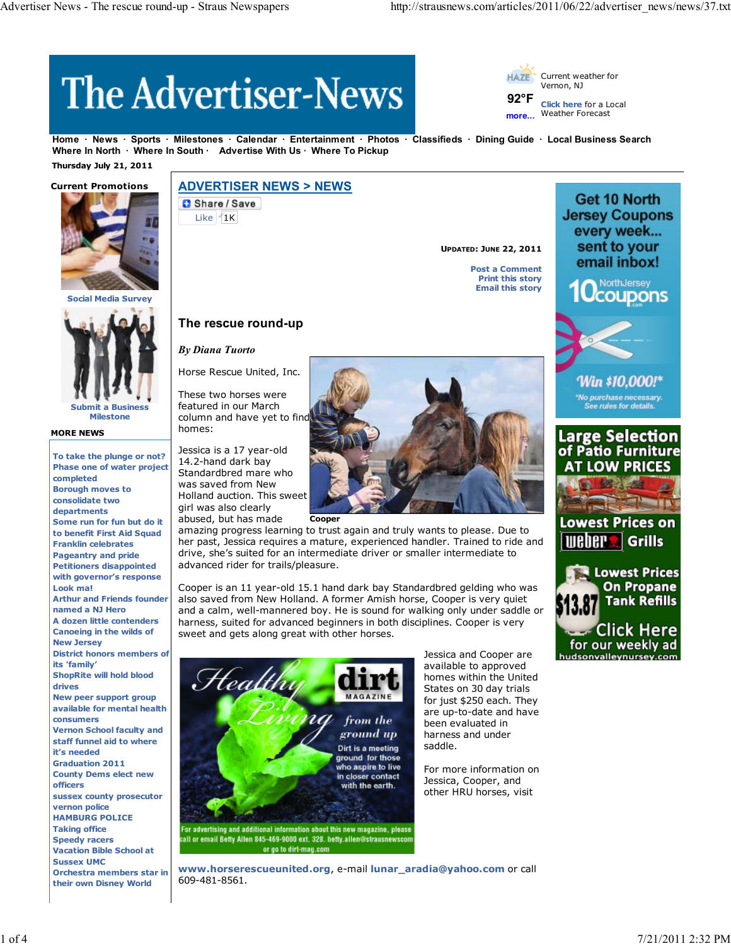# **The Advertiser-News**

Current weather for **HA7F** Vernon, NJ

**92°F more... Click here** for a Local Weather Forecast

**Home News Sports Milestones Calendar Entertainment Photos Classifieds Dining Guide Local Business Search** Where In North · Where In South · Advertise With Us · Where To Pickup

 **Thursday July 21, 2011**



**Social Media Surv** 



**Milestone**

## **MORE NEWS**

**To take the plunge or not? Phase one of water project completed Borough moves to consolidate two departments Some run for fun but do it to benefit First Aid Squad Franklin celebrates Pageantry and pride Petitioners disappointed with governor's response Look ma! Arthur and Friends founder named a NJ Hero A dozen little contenders Canoeing in the wilds of New Jersey District honors members of its 'family' ShopRite will hold blood drives New peer support group available for mental health consumers Vernon School faculty and staff funnel aid to where it's needed Graduation 2011 County Dems elect new officers sussex county prosecutor vernon police HAMBURG POLICE Taking office Speedy racers Vacation Bible School at Sussex UMC Orchestra members star in**

**their own Disney World**

# **ADVERTISER NEWS > NEWS**

Share / Save Like  $1K$ 

**UPDATED: JUNE 22, 2011**

**Post a Comment Print this story Email this story**



Get 10 North



Win \$10,000!\* *No purchase necessary.*<br>See rules for details.

Large Selection<br>of Patio Furniture **AT LOW PRICES** 

Jessica is a 17 year-old 14.2-hand dark bay Standardbred mare who was saved from New Holland auction. This sweet girl was also clearly

**The rescue round-up**

Horse Rescue United, Inc. These two horses were featured in our March column and have yet to find

*By Diana Tuorto*

homes:



her past, Jessica requires a mature, experienced handler. Trained to ride and drive, she's suited for an intermediate driver or smaller intermediate to advanced rider for trails/pleasure.

Cooper is an 11 year-old 15.1 hand dark bay Standardbred gelding who was also saved from New Holland. A former Amish horse, Cooper is very quiet and a calm, well-mannered boy. He is sound for walking only under saddle or harness, suited for advanced beginners in both disciplines. Cooper is very sweet and gets along great with other horses.

**www.horserescueunited.org**, e-mail **lunar\_aradia@yahoo.com** or call



609-481-8561.

Jessica and Cooper are available to approved homes within the United States on 30 day trials for just \$250 each. They are up-to-date and have been evaluated in harness and under saddle.

For more information on Jessica, Cooper, and other HRU horses, visit

**Lowest Prices on WEDER Grills Lowest Prices On Propane Tank Refills** Click Here

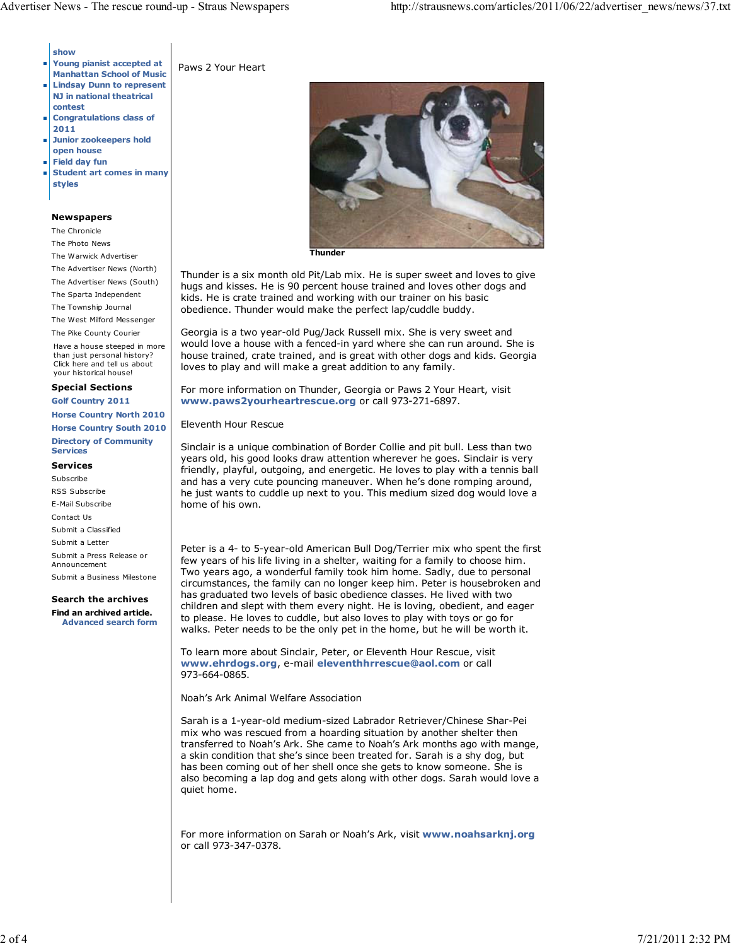#### **show**

- **Young pianist accepted at Manhattan School of Music**
- **Lindsay Dunn to represent NJ in national theatrical**
- **contest Congratulations class of 2011**
- **Junior zookeepers hold** T. **open house**
- **Field day fun**
- **Student art comes in many** Ĥ. **styles**

#### **Newspapers**

The Chronicle

The Photo News

- The Warwick Advertiser
- The Advertiser News (North)
- The Advertiser News (South)

The Sparta Independent The Township Journal

The West Milford Messenger

The Pike County Courier

Have a house steeped in more than just personal history? Click here and tell us about your historical house!

#### **Special Sections**

**Golf Country 2011**

**Horse Country North 2010 Horse Country South 2010 Directory of Community Services**

#### **Services**

Subscribe RSS Subscribe E-Mail Subscribe Contact Us Submit a Classified Submit a Letter Submit a Press Release or Announcement

Submit a Business Milestone

**Search the archives**

**Find an archived article. Advanced search form**





**Thunder**

Thunder is a six month old Pit/Lab mix. He is super sweet and loves to give hugs and kisses. He is 90 percent house trained and loves other dogs and kids. He is crate trained and working with our trainer on his basic obedience. Thunder would make the perfect lap/cuddle buddy.

Georgia is a two year-old Pug/Jack Russell mix. She is very sweet and would love a house with a fenced-in yard where she can run around. She is house trained, crate trained, and is great with other dogs and kids. Georgia loves to play and will make a great addition to any family.

For more information on Thunder, Georgia or Paws 2 Your Heart, visit **www.paws2yourheartrescue.org** or call 973-271-6897.

## Eleventh Hour Rescue

Sinclair is a unique combination of Border Collie and pit bull. Less than two years old, his good looks draw attention wherever he goes. Sinclair is very friendly, playful, outgoing, and energetic. He loves to play with a tennis ball and has a very cute pouncing maneuver. When he's done romping around, he just wants to cuddle up next to you. This medium sized dog would love a home of his own.

Peter is a 4- to 5-year-old American Bull Dog/Terrier mix who spent the first few years of his life living in a shelter, waiting for a family to choose him. Two years ago, a wonderful family took him home. Sadly, due to personal circumstances, the family can no longer keep him. Peter is housebroken and has graduated two levels of basic obedience classes. He lived with two children and slept with them every night. He is loving, obedient, and eager to please. He loves to cuddle, but also loves to play with toys or go for walks. Peter needs to be the only pet in the home, but he will be worth it.

To learn more about Sinclair, Peter, or Eleventh Hour Rescue, visit **www.ehrdogs.org**, e-mail **eleventhhrrescue@aol.com** or call 973-664-0865.

Noah's Ark Animal Welfare Association

Sarah is a 1-year-old medium-sized Labrador Retriever/Chinese Shar-Pei mix who was rescued from a hoarding situation by another shelter then transferred to Noah's Ark. She came to Noah's Ark months ago with mange, a skin condition that she's since been treated for. Sarah is a shy dog, but has been coming out of her shell once she gets to know someone. She is also becoming a lap dog and gets along with other dogs. Sarah would love a quiet home.

For more information on Sarah or Noah's Ark, visit **www.noahsarknj.org** or call 973-347-0378.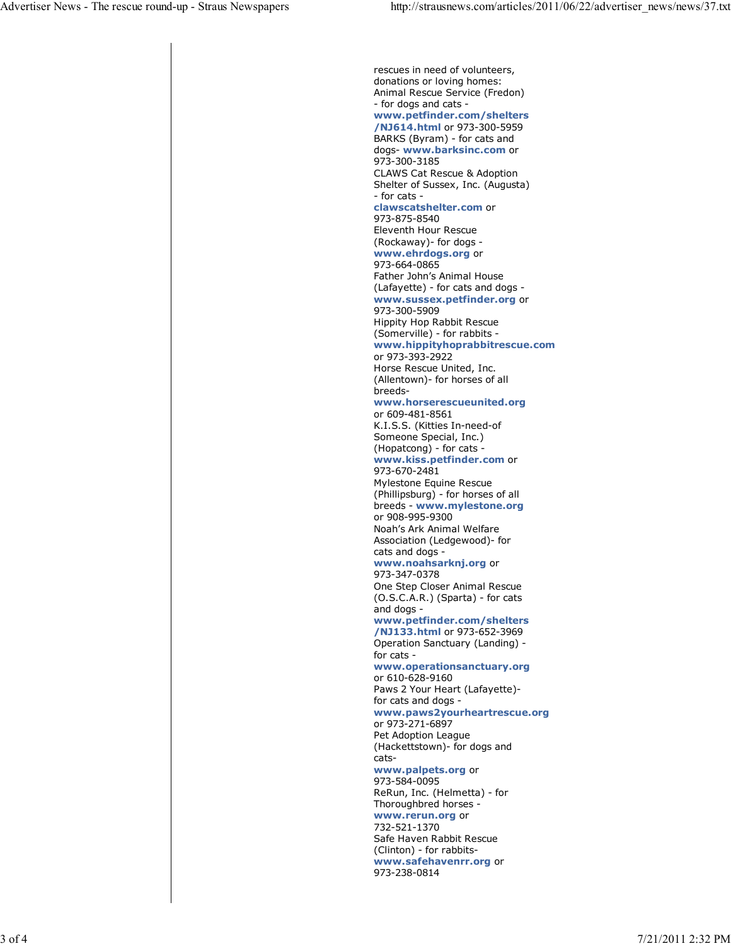rescues in need of volunteers, donations or loving homes: Animal Rescue Service (Fredon) - for dogs and cats **www.petfinder.com/shelters /NJ614.html** or 973-300-5959 BARKS (Byram) - for cats and dogs- **www.barksinc.com** or 973-300-3185 CLAWS Cat Rescue & Adoption Shelter of Sussex, Inc. (Augusta) - for cats **clawscatshelter.com** or 973-875-8540 Eleventh Hour Rescue (Rockaway)- for dogs **www.ehrdogs.org** or 973-664-0865 Father John's Animal House (Lafayette) - for cats and dogs **www.sussex.petfinder.org** or 973-300-5909 Hippity Hop Rabbit Rescue (Somerville) - for rabbits **www.hippityhoprabbitrescue.com** or 973-393-2922 Horse Rescue United, Inc. (Allentown)- for horses of all breeds**www.horserescueunited.org** or 609-481-8561 K.I.S.S. (Kitties In-need-of Someone Special, Inc.) (Hopatcong) - for cats **www.kiss.petfinder.com** or 973-670-2481 Mylestone Equine Rescue (Phillipsburg) - for horses of all breeds - **www.mylestone.org** or 908-995-9300 Noah's Ark Animal Welfare Association (Ledgewood)- for cats and dogs **www.noahsarknj.org** or 973-347-0378 One Step Closer Animal Rescue (O.S.C.A.R.) (Sparta) - for cats and dogs **www.petfinder.com/shelters /NJ133.html** or 973-652-3969 Operation Sanctuary (Landing) for cats **www.operationsanctuary.org** or 610-628-9160 Paws 2 Your Heart (Lafayette) for cats and dogs **www.paws2yourheartrescue.org** or 973-271-6897 Pet Adoption League (Hackettstown)- for dogs and cats**www.palpets.org** or 973-584-0095 ReRun, Inc. (Helmetta) - for Thoroughbred horses **www.rerun.org** or 732-521-1370 Safe Haven Rabbit Rescue (Clinton) - for rabbits**www.safehavenrr.org** or 973-238-0814